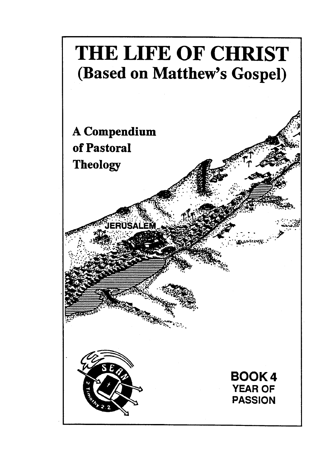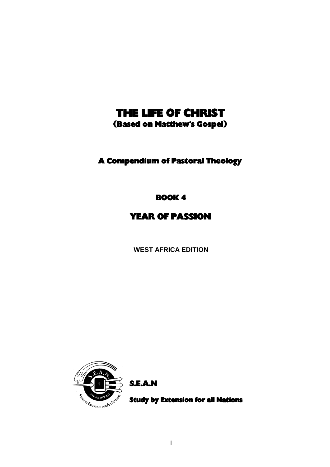## THE LIFE OF CHRIST

(Based on Matthew's Gospel)

A Compendium of Pastoral Theology

BOOK 4

YEAR OF PASSION

**WEST AFRICA EDITION**



S.E.A.N

Study by Extension for all Nations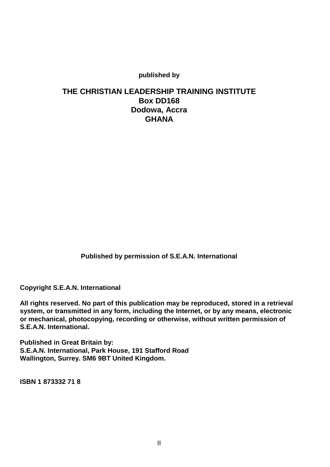**published by**

## **THE CHRISTIAN LEADERSHIP TRAINING INSTITUTE Box DD168 Dodowa, Accra GHANA**

**Published by permission of S.E.A.N. International**

**Copyright S.E.A.N. International**

**All rights reserved. No part of this publication may be reproduced, stored in a retrieval system, or transmitted in any form, including the Internet, or by any means, electronic or mechanical, photocopying, recording or otherwise, without written permission of S.E.A.N. International.**

**Published in Great Britain by: S.E.A.N. International, Park House, 191 Stafford Road Wallington, Surrey. SM6 9BT United Kingdom.**

**ISBN 1 873332 71 8**